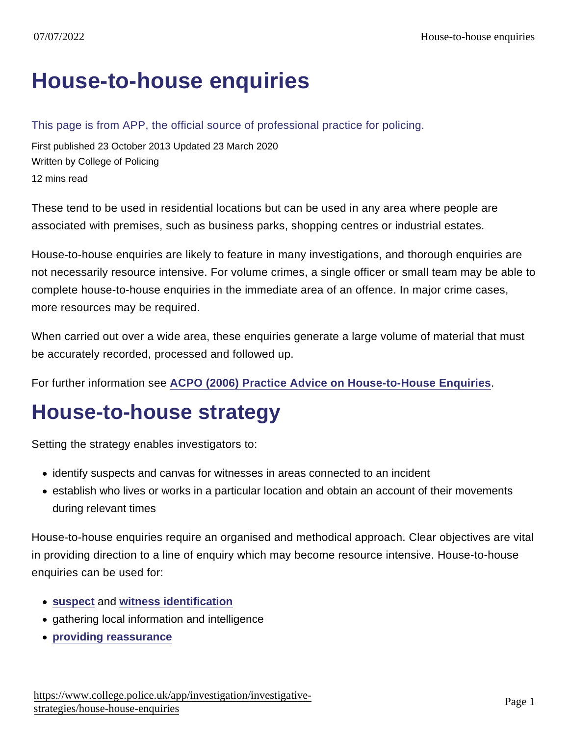# [House-to-house enquiries](https://www.college.police.uk/app/investigation/investigative-strategies/house-house-enquiries)

This page is from APP, the official source of professional practice for policing.

First published 23 October 2013 Updated 23 March 2020 Written by College of Policing 12 mins read

These tend to be used in residential locations but can be used in any area where people are associated with premises, such as business parks, shopping centres or industrial estates.

House-to-house enquiries are likely to feature in many investigations, and thorough enquiries are not necessarily resource intensive. For volume crimes, a single officer or small team may be able to complete house-to-house enquiries in the immediate area of an offence. In major crime cases, more resources may be required.

When carried out over a wide area, these enquiries generate a large volume of material that must be accurately recorded, processed and followed up.

For further information see [ACPO \(2006\) Practice Advice on House-to-House Enquiries](https://library.college.police.uk/docs/APPref/house-to-house-enquiries.pdf) .

# House-to-house strategy

Setting the strategy enables investigators to:

- identify suspects and canvas for witnesses in areas connected to an incident
- establish who lives or works in a particular location and obtain an account of their movements during relevant times

House-to-house enquiries require an organised and methodical approach. Clear objectives are vital in providing direction to a line of enquiry which may become resource intensive. House-to-house enquiries can be used for:

- [suspect](https://www.app.college.police.uk/app-content/investigations/working-with-suspects/#identification-of-suspects) and [witness identification](https://www.app.college.police.uk/app-content/investigations/victims-and-witnesses/#witness-identification-strategy)
- gathering local information and intelligence
- [providing reassurance](https://www.app.college.police.uk/app-content/investigations/investigative-strategies/house-to-house-enquiries/#providing-reassurance)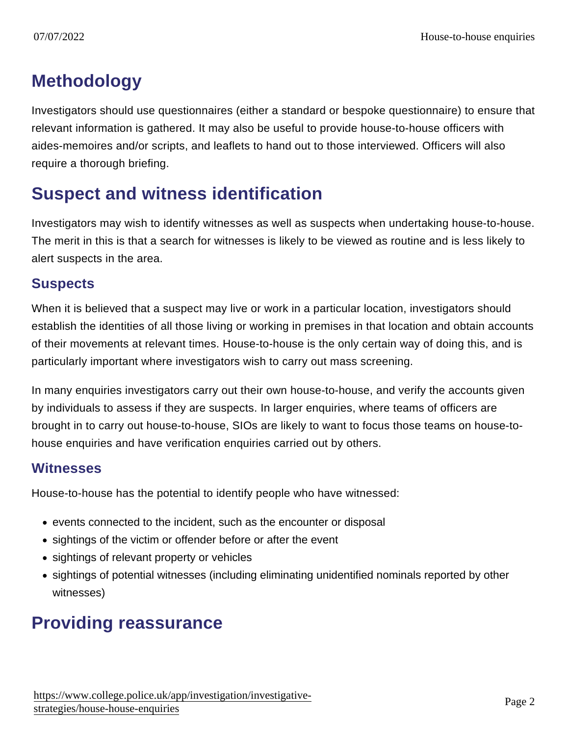# **Methodology**

Investigators should use questionnaires (either a standard or bespoke questionnaire) to ensure that relevant information is gathered. It may also be useful to provide house-to-house officers with aides-memoires and/or scripts, and leaflets to hand out to those interviewed. Officers will also require a thorough briefing.

# Suspect and witness identification

Investigators may wish to identify witnesses as well as suspects when undertaking house-to-house. The merit in this is that a search for witnesses is likely to be viewed as routine and is less likely to alert suspects in the area.

#### **Suspects**

When it is believed that a suspect may live or work in a particular location, investigators should establish the identities of all those living or working in premises in that location and obtain accounts of their movements at relevant times. House-to-house is the only certain way of doing this, and is particularly important where investigators wish to carry out mass screening.

In many enquiries investigators carry out their own house-to-house, and verify the accounts given by individuals to assess if they are suspects. In larger enquiries, where teams of officers are brought in to carry out house-to-house, SIOs are likely to want to focus those teams on house-tohouse enquiries and have verification enquiries carried out by others.

#### **Witnesses**

House-to-house has the potential to identify people who have witnessed:

- events connected to the incident, such as the encounter or disposal
- sightings of the victim or offender before or after the event
- sightings of relevant property or vehicles
- sightings of potential witnesses (including eliminating unidentified nominals reported by other witnesses)

# Providing reassurance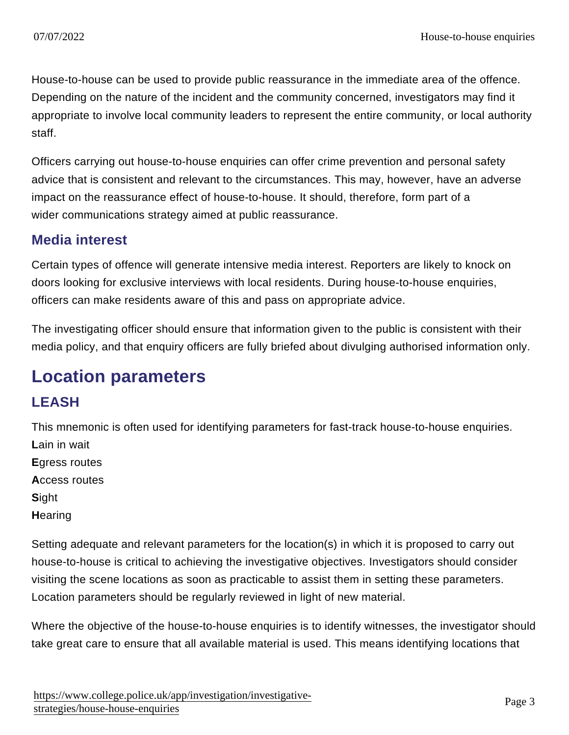House-to-house can be used to provide public reassurance in the immediate area of the offence. Depending on the nature of the incident and the community concerned, investigators may find it appropriate to involve local community leaders to represent the entire community, or local authority staff.

Officers carrying out house-to-house enquiries can offer crime prevention and personal safety advice that is consistent and relevant to the circumstances. This may, however, have an adverse impact on the reassurance effect of house-to-house. It should, therefore, form part of a wider communications strategy aimed at public reassurance.

#### Media interest

Certain types of offence will generate intensive media interest. Reporters are likely to knock on doors looking for exclusive interviews with local residents. During house-to-house enquiries, officers can make residents aware of this and pass on appropriate advice.

The investigating officer should ensure that information given to the public is consistent with their media policy, and that enquiry officers are fully briefed about divulging authorised information only.

# Location parameters

### LEASH

This mnemonic is often used for identifying parameters for fast-track house-to-house enquiries.

- Lain in wait Egress routes Access routes Sight
- **Hearing**

Setting adequate and relevant parameters for the location(s) in which it is proposed to carry out house-to-house is critical to achieving the investigative objectives. Investigators should consider visiting the scene locations as soon as practicable to assist them in setting these parameters. Location parameters should be regularly reviewed in light of new material.

Where the objective of the house-to-house enquiries is to identify witnesses, the investigator should take great care to ensure that all available material is used. This means identifying locations that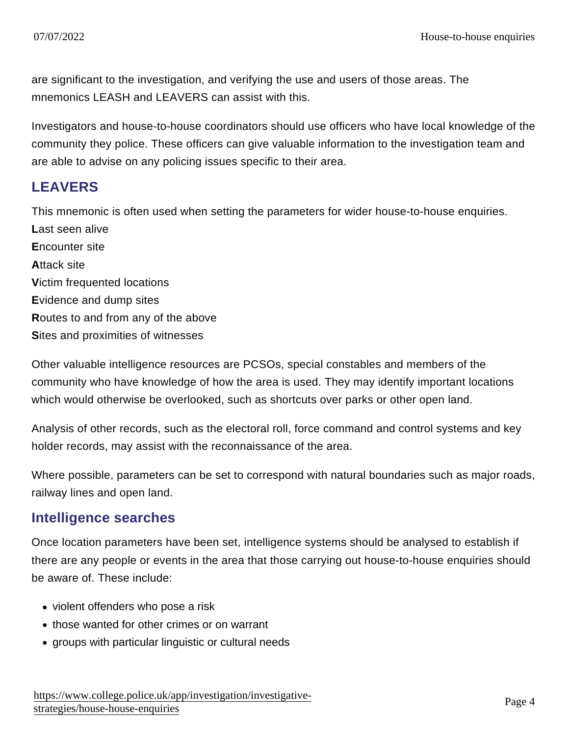are significant to the investigation, and verifying the use and users of those areas. The mnemonics LEASH and LEAVERS can assist with this.

Investigators and house-to-house coordinators should use officers who have local knowledge of the community they police. These officers can give valuable information to the investigation team and are able to advise on any policing issues specific to their area.

### **LEAVERS**

This mnemonic is often used when setting the parameters for wider house-to-house enquiries. Last seen alive Encounter site Attack site Victim frequented locations Evidence and dump sites Routes to and from any of the above Sites and proximities of witnesses

Other valuable intelligence resources are PCSOs, special constables and members of the community who have knowledge of how the area is used. They may identify important locations which would otherwise be overlooked, such as shortcuts over parks or other open land.

Analysis of other records, such as the electoral roll, force command and control systems and key holder records, may assist with the reconnaissance of the area.

Where possible, parameters can be set to correspond with natural boundaries such as major roads, railway lines and open land.

#### Intelligence searches

Once location parameters have been set, intelligence systems should be analysed to establish if there are any people or events in the area that those carrying out house-to-house enquiries should be aware of. These include:

- violent offenders who pose a risk
- those wanted for other crimes or on warrant
- groups with particular linguistic or cultural needs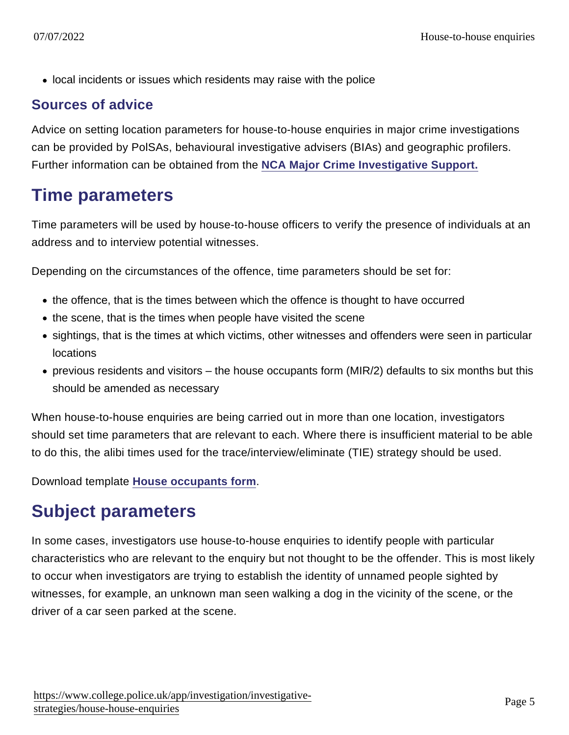• local incidents or issues which residents may raise with the police

#### Sources of advice

Advice on setting location parameters for house-to-house enquiries in major crime investigations can be provided by PolSAs, behavioural investigative advisers (BIAs) and geographic profilers. Further information can be obtained from the [NCA Major Crime Investigative Support.](https://www.nationalcrimeagency.gov.uk/what-we-do/how-we-work/providing-specialist-capabilities-for-law-enforcement/major-crime-investigative-support)

### Time parameters

Time parameters will be used by house-to-house officers to verify the presence of individuals at an address and to interview potential witnesses.

Depending on the circumstances of the offence, time parameters should be set for:

- the offence, that is the times between which the offence is thought to have occurred
- the scene, that is the times when people have visited the scene
- sightings, that is the times at which victims, other witnesses and offenders were seen in particular locations
- previous residents and visitors the house occupants form (MIR/2) defaults to six months but this should be amended as necessary

When house-to-house enquiries are being carried out in more than one location, investigators should set time parameters that are relevant to each. Where there is insufficient material to be able to do this, the alibi times used for the trace/interview/eliminate (TIE) strategy should be used.

Download template [House occupants form](https://library.college.police.uk/docs/APPref/House-Occupants-Form.pdf) .

### Subject parameters

In some cases, investigators use house-to-house enquiries to identify people with particular characteristics who are relevant to the enquiry but not thought to be the offender. This is most likely to occur when investigators are trying to establish the identity of unnamed people sighted by witnesses, for example, an unknown man seen walking a dog in the vicinity of the scene, or the driver of a car seen parked at the scene.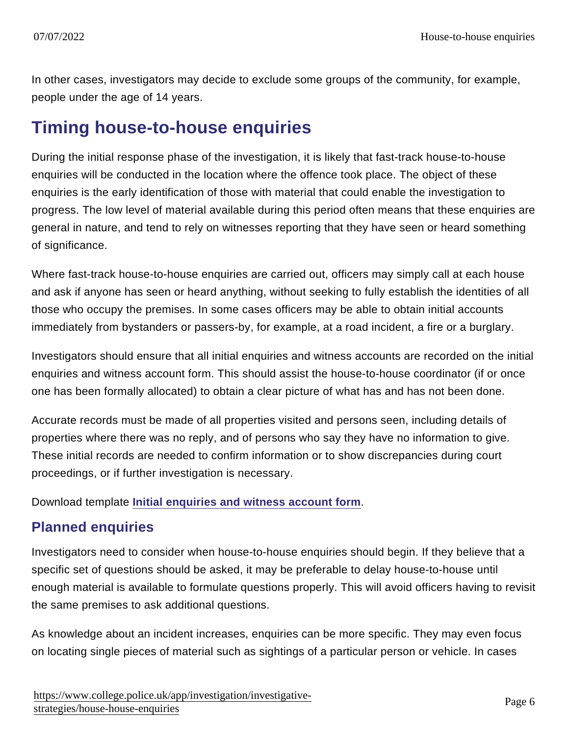In other cases, investigators may decide to exclude some groups of the community, for example, people under the age of 14 years.

## Timing house-to-house enquiries

During the initial response phase of the investigation, it is likely that fast-track house-to-house enquiries will be conducted in the location where the offence took place. The object of these enquiries is the early identification of those with material that could enable the investigation to progress. The low level of material available during this period often means that these enquiries are general in nature, and tend to rely on witnesses reporting that they have seen or heard something of significance.

Where fast-track house-to-house enquiries are carried out, officers may simply call at each house and ask if anyone has seen or heard anything, without seeking to fully establish the identities of all those who occupy the premises. In some cases officers may be able to obtain initial accounts immediately from bystanders or passers-by, for example, at a road incident, a fire or a burglary.

Investigators should ensure that all initial enquiries and witness accounts are recorded on the initial enquiries and witness account form. This should assist the house-to-house coordinator (if or once one has been formally allocated) to obtain a clear picture of what has and has not been done.

Accurate records must be made of all properties visited and persons seen, including details of properties where there was no reply, and of persons who say they have no information to give. These initial records are needed to confirm information or to show discrepancies during court proceedings, or if further investigation is necessary.

Download template [Initial enquiries and witness account form](https://library.college.police.uk/docs/APPref/initial-enquiries-form.pdf) .

#### Planned enquiries

Investigators need to consider when house-to-house enquiries should begin. If they believe that a specific set of questions should be asked, it may be preferable to delay house-to-house until enough material is available to formulate questions properly. This will avoid officers having to revisit the same premises to ask additional questions.

As knowledge about an incident increases, enquiries can be more specific. They may even focus on locating single pieces of material such as sightings of a particular person or vehicle. In cases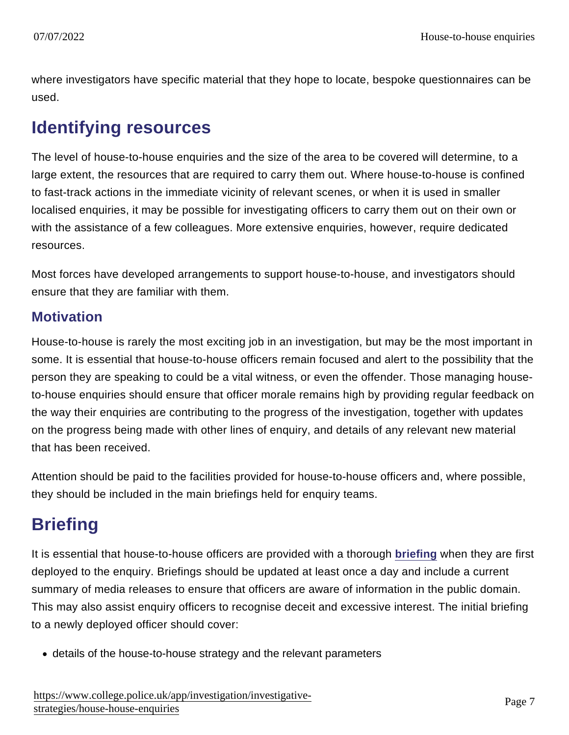where investigators have specific material that they hope to locate, bespoke questionnaires can be used.

# Identifying resources

The level of house-to-house enquiries and the size of the area to be covered will determine, to a large extent, the resources that are required to carry them out. Where house-to-house is confined to fast-track actions in the immediate vicinity of relevant scenes, or when it is used in smaller localised enquiries, it may be possible for investigating officers to carry them out on their own or with the assistance of a few colleagues. More extensive enquiries, however, require dedicated resources.

Most forces have developed arrangements to support house-to-house, and investigators should ensure that they are familiar with them.

#### **Motivation**

House-to-house is rarely the most exciting job in an investigation, but may be the most important in some. It is essential that house-to-house officers remain focused and alert to the possibility that the person they are speaking to could be a vital witness, or even the offender. Those managing houseto-house enquiries should ensure that officer morale remains high by providing regular feedback on the way their enquiries are contributing to the progress of the investigation, together with updates on the progress being made with other lines of enquiry, and details of any relevant new material that has been received.

Attention should be paid to the facilities provided for house-to-house officers and, where possible, they should be included in the main briefings held for enquiry teams.

# **Briefing**

It is essential that house-to-house officers are provided with a thorough [briefing](https://www.app.college.police.uk/app-content/operations/briefing-and-debriefing/#briefing) when they are first deployed to the enquiry. Briefings should be updated at least once a day and include a current summary of media releases to ensure that officers are aware of information in the public domain. This may also assist enquiry officers to recognise deceit and excessive interest. The initial briefing to a newly deployed officer should cover:

details of the house-to-house strategy and the relevant parameters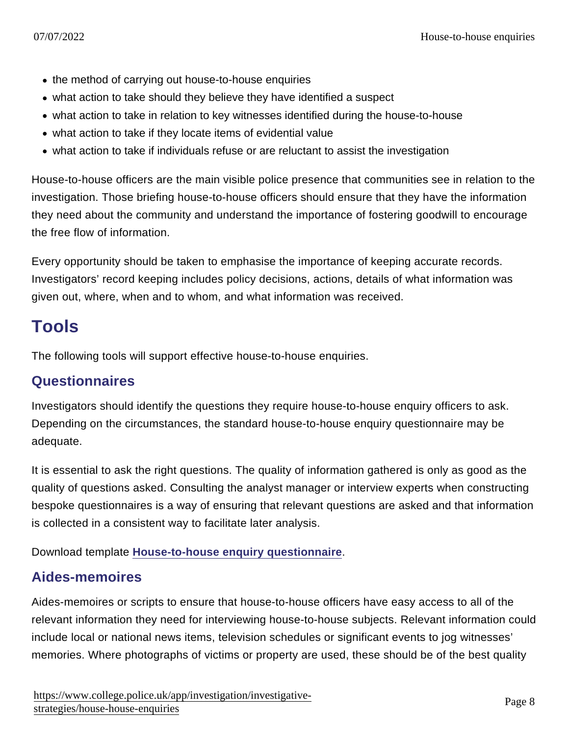- the method of carrying out house-to-house enquiries
- what action to take should they believe they have identified a suspect
- what action to take in relation to key witnesses identified during the house-to-house
- what action to take if they locate items of evidential value
- what action to take if individuals refuse or are reluctant to assist the investigation

House-to-house officers are the main visible police presence that communities see in relation to the investigation. Those briefing house-to-house officers should ensure that they have the information they need about the community and understand the importance of fostering goodwill to encourage the free flow of information.

Every opportunity should be taken to emphasise the importance of keeping accurate records. Investigators' record keeping includes policy decisions, actions, details of what information was given out, where, when and to whom, and what information was received.

# Tools

The following tools will support effective house-to-house enquiries.

#### **Questionnaires**

Investigators should identify the questions they require house-to-house enquiry officers to ask. Depending on the circumstances, the standard house-to-house enquiry questionnaire may be adequate.

It is essential to ask the right questions. The quality of information gathered is only as good as the quality of questions asked. Consulting the analyst manager or interview experts when constructing bespoke questionnaires is a way of ensuring that relevant questions are asked and that information is collected in a consistent way to facilitate later analysis.

Download template [House-to-house enquiry questionnaire](https://library.college.police.uk/docs/APPref/House-to-House-Enquiry-Questionnaire.pdf) .

#### Aides-memoires

Aides-memoires or scripts to ensure that house-to-house officers have easy access to all of the relevant information they need for interviewing house-to-house subjects. Relevant information could include local or national news items, television schedules or significant events to jog witnesses' memories. Where photographs of victims or property are used, these should be of the best quality